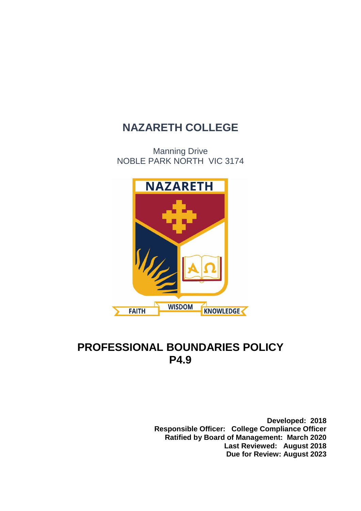# **NAZARETH COLLEGE**

Manning Drive NOBLE PARK NORTH VIC 3174



# **PROFESSIONAL BOUNDARIES POLICY P4.9**

**Developed: 2018 Responsible Officer: College Compliance Officer Ratified by Board of Management: March 2020 Last Reviewed: August 2018 Due for Review: August 2023**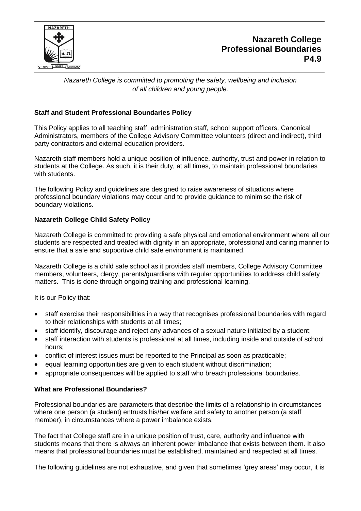

# **Nazareth College Professional Boundaries P4.9**

*Nazareth College is committed to promoting the safety, wellbeing and inclusion of all children and young people.*

## **Staff and Student Professional Boundaries Policy**

This Policy applies to all teaching staff, administration staff, school support officers, Canonical Administrators, members of the College Advisory Committee volunteers (direct and indirect), third party contractors and external education providers.

Nazareth staff members hold a unique position of influence, authority, trust and power in relation to students at the College. As such, it is their duty, at all times, to maintain professional boundaries with students.

The following Policy and guidelines are designed to raise awareness of situations where professional boundary violations may occur and to provide guidance to minimise the risk of boundary violations.

#### **Nazareth College Child Safety Policy**

Nazareth College is committed to providing a safe physical and emotional environment where all our students are respected and treated with dignity in an appropriate, professional and caring manner to ensure that a safe and supportive child safe environment is maintained.

Nazareth College is a child safe school as it provides staff members, College Advisory Committee members, volunteers, clergy, parents/guardians with regular opportunities to address child safety matters. This is done through ongoing training and professional learning.

It is our Policy that:

- staff exercise their responsibilities in a way that recognises professional boundaries with regard to their relationships with students at all times;
- staff identify, discourage and reject any advances of a sexual nature initiated by a student;
- staff interaction with students is professional at all times, including inside and outside of school hours;
- conflict of interest issues must be reported to the Principal as soon as practicable;
- equal learning opportunities are given to each student without discrimination;
- appropriate consequences will be applied to staff who breach professional boundaries.

#### **What are Professional Boundaries?**

Professional boundaries are parameters that describe the limits of a relationship in circumstances where one person (a student) entrusts his/her welfare and safety to another person (a staff member), in circumstances where a power imbalance exists.

The fact that College staff are in a unique position of trust, care, authority and influence with students means that there is always an inherent power imbalance that exists between them. It also means that professional boundaries must be established, maintained and respected at all times.

The following guidelines are not exhaustive, and given that sometimes 'grey areas' may occur, it is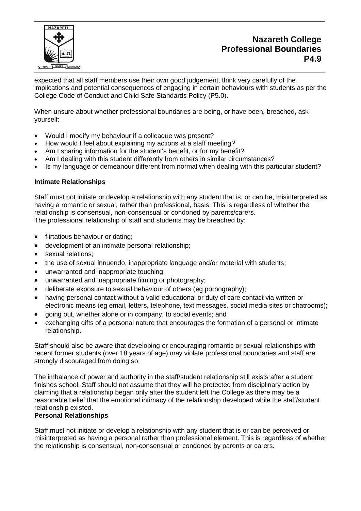

# **Nazareth College Professional Boundaries P4.9**

expected that all staff members use their own good judgement, think very carefully of the implications and potential consequences of engaging in certain behaviours with students as per the College Code of Conduct and Child Safe Standards Policy (P5.0).

When unsure about whether professional boundaries are being, or have been, breached, ask yourself:

- Would I modify my behaviour if a colleague was present?
- How would I feel about explaining my actions at a staff meeting?
- Am I sharing information for the student's benefit, or for my benefit?
- Am I dealing with this student differently from others in similar circumstances?
- Is my language or demeanour different from normal when dealing with this particular student?

#### **Intimate Relationships**

Staff must not initiate or develop a relationship with any student that is, or can be, misinterpreted as having a romantic or sexual, rather than professional, basis. This is regardless of whether the relationship is consensual, non-consensual or condoned by parents/carers. The professional relationship of staff and students may be breached by:

- flirtatious behaviour or dating:
- development of an intimate personal relationship;
- sexual relations:
- the use of sexual innuendo, inappropriate language and/or material with students;
- unwarranted and inappropriate touching;
- unwarranted and inappropriate filming or photography;
- deliberate exposure to sexual behaviour of others (eg pornography);
- having personal contact without a valid educational or duty of care contact via written or electronic means (eg email, letters, telephone, text messages, social media sites or chatrooms);
- going out, whether alone or in company, to social events; and
- exchanging gifts of a personal nature that encourages the formation of a personal or intimate relationship.

Staff should also be aware that developing or encouraging romantic or sexual relationships with recent former students (over 18 years of age) may violate professional boundaries and staff are strongly discouraged from doing so.

The imbalance of power and authority in the staff/student relationship still exists after a student finishes school. Staff should not assume that they will be protected from disciplinary action by claiming that a relationship began only after the student left the College as there may be a reasonable belief that the emotional intimacy of the relationship developed while the staff/student relationship existed.

#### **Personal Relationships**

Staff must not initiate or develop a relationship with any student that is or can be perceived or misinterpreted as having a personal rather than professional element. This is regardless of whether the relationship is consensual, non-consensual or condoned by parents or carers.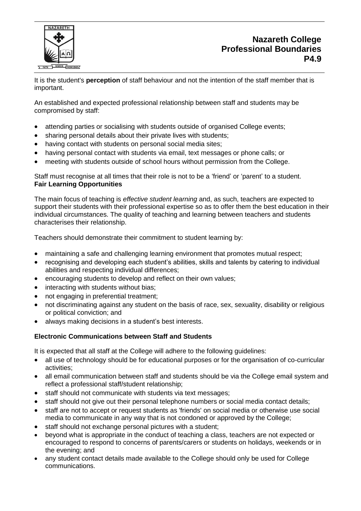

It is the student's **perception** of staff behaviour and not the intention of the staff member that is important.

An established and expected professional relationship between staff and students may be compromised by staff:

- attending parties or socialising with students outside of organised College events;
- sharing personal details about their private lives with students;
- having contact with students on personal social media sites;
- having personal contact with students via email, text messages or phone calls; or
- meeting with students outside of school hours without permission from the College.

Staff must recognise at all times that their role is not to be a 'friend' or 'parent' to a student. **Fair Learning Opportunities**

The main focus of teaching is *effective student learning* and, as such, teachers are expected to support their students with their professional expertise so as to offer them the best education in their individual circumstances. The quality of teaching and learning between teachers and students characterises their relationship.

Teachers should demonstrate their commitment to student learning by:

- maintaining a safe and challenging learning environment that promotes mutual respect:
- recognising and developing each student's abilities, skills and talents by catering to individual abilities and respecting individual differences;
- encouraging students to develop and reflect on their own values;
- interacting with students without bias;
- not engaging in preferential treatment;
- not discriminating against any student on the basis of race, sex, sexuality, disability or religious or political conviction; and
- always making decisions in a student's best interests.

#### **Electronic Communications between Staff and Students**

It is expected that all staff at the College will adhere to the following guidelines:

- all use of technology should be for educational purposes or for the organisation of co-curricular activities;
- all email communication between staff and students should be via the College email system and reflect a professional staff/student relationship;
- staff should not communicate with students via text messages;
- staff should not give out their personal telephone numbers or social media contact details;
- staff are not to accept or request students as 'friends' on social media or otherwise use social media to communicate in any way that is not condoned or approved by the College;
- staff should not exchange personal pictures with a student;
- beyond what is appropriate in the conduct of teaching a class, teachers are not expected or encouraged to respond to concerns of parents/carers or students on holidays, weekends or in the evening; and
- any student contact details made available to the College should only be used for College communications.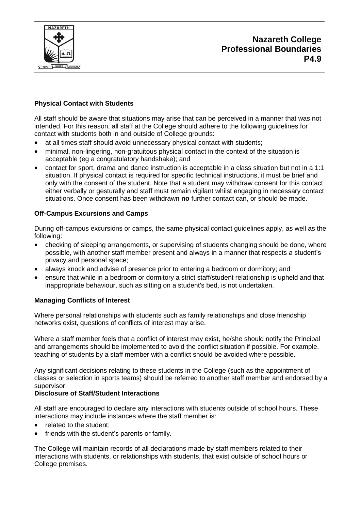

# **Nazareth College Professional Boundaries P4.9**

### **Physical Contact with Students**

All staff should be aware that situations may arise that can be perceived in a manner that was not intended. For this reason, all staff at the College should adhere to the following guidelines for contact with students both in and outside of College grounds:

- at all times staff should avoid unnecessary physical contact with students;
- minimal, non-lingering, non-gratuitous physical contact in the context of the situation is acceptable (eg a congratulatory handshake); and
- contact for sport, drama and dance instruction is acceptable in a class situation but not in a 1:1 situation. If physical contact is required for specific technical instructions, it must be brief and only with the consent of the student. Note that a student may withdraw consent for this contact either verbally or gesturally and staff must remain vigilant whilst engaging in necessary contact situations. Once consent has been withdrawn **no** further contact can, or should be made.

#### **Off-Campus Excursions and Camps**

During off-campus excursions or camps, the same physical contact guidelines apply, as well as the following:

- checking of sleeping arrangements, or supervising of students changing should be done, where possible, with another staff member present and always in a manner that respects a student's privacy and personal space;
- always knock and advise of presence prior to entering a bedroom or dormitory; and
- ensure that while in a bedroom or dormitory a strict staff/student relationship is upheld and that inappropriate behaviour, such as sitting on a student's bed, is not undertaken.

#### **Managing Conflicts of Interest**

Where personal relationships with students such as family relationships and close friendship networks exist, questions of conflicts of interest may arise.

Where a staff member feels that a conflict of interest may exist, he/she should notify the Principal and arrangements should be implemented to avoid the conflict situation if possible. For example, teaching of students by a staff member with a conflict should be avoided where possible.

Any significant decisions relating to these students in the College (such as the appointment of classes or selection in sports teams) should be referred to another staff member and endorsed by a supervisor.

#### **Disclosure of Staff/Student Interactions**

All staff are encouraged to declare any interactions with students outside of school hours. These interactions may include instances where the staff member is:

- related to the student;
- friends with the student's parents or family.

The College will maintain records of all declarations made by staff members related to their interactions with students, or relationships with students, that exist outside of school hours or College premises.